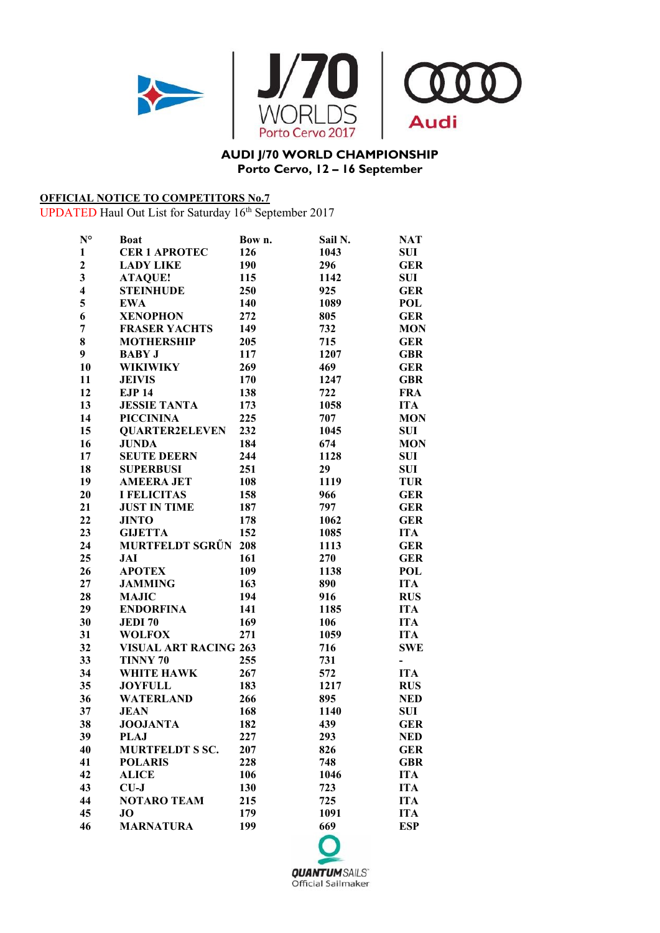

## **AUDI J/70 WORLD CHAMPIONSHIP Porto Cervo, 12 – 16 September**

## **OFFICIAL NOTICE TO COMPETITORS No.7**

UPDATED Haul Out List for Saturday 16<sup>th</sup> September 2017

| $N^{\circ}$             | <b>Boat</b>                  | Bow n. | Sail N. | <b>NAT</b>    |
|-------------------------|------------------------------|--------|---------|---------------|
| $\mathbf{1}$            | <b>CER 1 APROTEC</b>         | 126    | 1043    | <b>SUI</b>    |
| $\boldsymbol{2}$        | <b>LADY LIKE</b>             | 190    | 296     | <b>GER</b>    |
| $\overline{\mathbf{3}}$ | <b>ATAQUE!</b>               | 115    | 1142    | <b>SUI</b>    |
| $\overline{\mathbf{4}}$ | <b>STEINHUDE</b>             | 250    | 925     | <b>GER</b>    |
| 5                       | <b>EWA</b>                   | 140    | 1089    | <b>POL</b>    |
| 6                       | <b>XENOPHON</b>              | 272    | 805     | <b>GER</b>    |
| 7                       | <b>FRASER YACHTS</b>         | 149    | 732     | <b>MON</b>    |
| 8                       | <b>MOTHERSHIP</b>            | 205    | 715     | <b>GER</b>    |
| 9                       | <b>BABY J</b>                | 117    | 1207    | <b>GBR</b>    |
| 10                      | <b>WIKIWIKY</b>              | 269    | 469     | <b>GER</b>    |
| 11                      | <b>JEIVIS</b>                | 170    | 1247    | <b>GBR</b>    |
| 12                      | <b>EJP 14</b>                | 138    | 722     | <b>FRA</b>    |
| 13                      | <b>JESSIE TANTA</b>          | 173    | 1058    | <b>ITA</b>    |
| 14                      | <b>PICCININA</b>             | 225    | 707     | <b>MON</b>    |
| 15                      | <b>QUARTER2ELEVEN</b>        | 232    | 1045    | SUI           |
| 16                      | <b>JUNDA</b>                 | 184    | 674     | <b>MON</b>    |
| 17                      | <b>SEUTE DEERN</b>           | 244    | 1128    | <b>SUI</b>    |
| 18                      | <b>SUPERBUSI</b>             | 251    | 29      | <b>SUI</b>    |
| 19                      | <b>AMEERA JET</b>            | 108    | 1119    | <b>TUR</b>    |
| 20                      | <b>I FELICITAS</b>           | 158    | 966     | <b>GER</b>    |
| 21                      | <b>JUST IN TIME</b>          | 187    | 797     | <b>GER</b>    |
| 22                      | <b>JINTO</b>                 | 178    | 1062    | <b>GER</b>    |
| 23                      | <b>GIJETTA</b>               | 152    | 1085    | <b>ITA</b>    |
| 24                      | <b>MURTFELDT SGRŰN</b>       | 208    | 1113    | <b>GER</b>    |
| 25                      | JAI                          | 161    | 270     | <b>GER</b>    |
| 26                      | <b>APOTEX</b>                | 109    | 1138    | <b>POL</b>    |
| 27                      | <b>JAMMING</b>               | 163    | 890     | <b>ITA</b>    |
| 28                      | <b>MAJIC</b>                 | 194    | 916     | <b>RUS</b>    |
| 29                      | <b>ENDORFINA</b>             | 141    | 1185    | <b>ITA</b>    |
| 30                      | <b>JEDI70</b>                | 169    | 106     | <b>ITA</b>    |
| 31                      | <b>WOLFOX</b>                | 271    | 1059    | <b>ITA</b>    |
| 32                      | <b>VISUAL ART RACING 263</b> |        | 716     | <b>SWE</b>    |
| 33                      | TINNY 70                     | 255    | 731     | $\frac{1}{2}$ |
| 34                      | <b>WHITE HAWK</b>            | 267    | 572     | <b>ITA</b>    |
| 35                      | <b>JOYFULL</b>               | 183    | 1217    | <b>RUS</b>    |
| 36                      | <b>WATERLAND</b>             | 266    | 895     | <b>NED</b>    |
| 37                      | <b>JEAN</b>                  | 168    | 1140    | <b>SUI</b>    |
| 38                      | <b>JOOJANTA</b>              | 182    | 439     | <b>GER</b>    |
| 39                      | <b>PLAJ</b>                  | 227    | 293     | <b>NED</b>    |
| 40                      | <b>MURTFELDT S SC.</b>       | 207    | 826     | <b>GER</b>    |
| 41                      | <b>POLARIS</b>               | 228    | 748     | <b>GBR</b>    |
| 42                      | <b>ALICE</b>                 | 106    | 1046    | <b>ITA</b>    |
| 43                      | $CU-J$                       | 130    | 723     | <b>ITA</b>    |
| 44                      | <b>NOTARO TEAM</b>           | 215    | 725     | <b>ITA</b>    |
| 45                      | <b>JO</b>                    | 179    | 1091    | <b>ITA</b>    |
| 46                      | <b>MARNATURA</b>             | 199    | 669     | <b>ESP</b>    |
|                         |                              |        |         |               |

**QUANTUMSAILS** Official Sailmaker